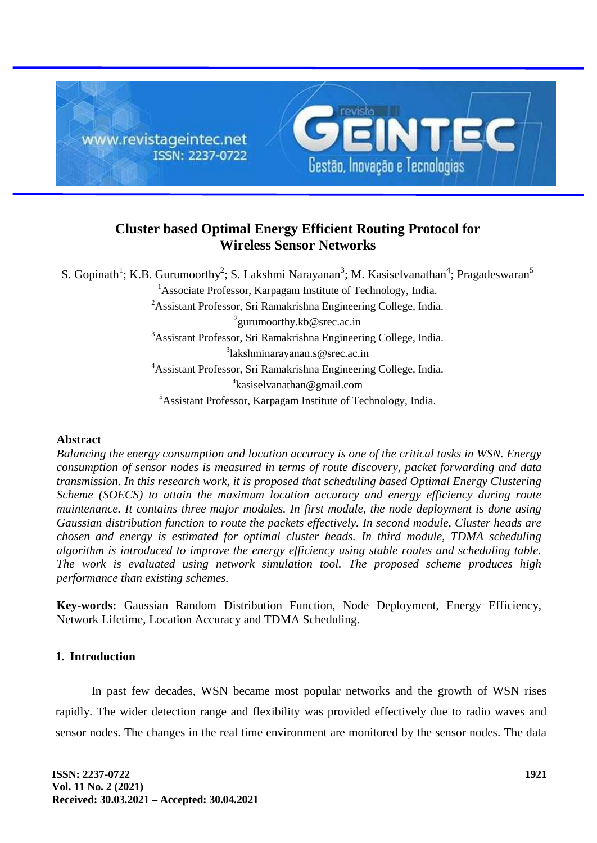

# **Cluster based Optimal Energy Efficient Routing Protocol for Wireless Sensor Networks**

S. Gopinath<sup>1</sup>; K.B. Gurumoorthy<sup>2</sup>; S. Lakshmi Narayanan<sup>3</sup>; M. Kasiselvanathan<sup>4</sup>; Pragadeswaran<sup>5</sup>

<sup>1</sup>Associate Professor, Karpagam Institute of Technology, India.

<sup>2</sup>Assistant Professor, Sri Ramakrishna Engineering College, India.

 $^{2}$ gurumoorthy.kb@srec.ac.in

<sup>3</sup>Assistant Professor, Sri Ramakrishna Engineering College, India.

3 lakshminarayanan.s@srec.ac.in

<sup>4</sup>Assistant Professor, Sri Ramakrishna Engineering College, India.

<sup>4</sup>kasiselvanathan@gmail.com

<sup>5</sup>Assistant Professor, Karpagam Institute of Technology, India.

## **Abstract**

*Balancing the energy consumption and location accuracy is one of the critical tasks in WSN. Energy consumption of sensor nodes is measured in terms of route discovery, packet forwarding and data transmission. In this research work, it is proposed that scheduling based Optimal Energy Clustering Scheme (SOECS) to attain the maximum location accuracy and energy efficiency during route maintenance. It contains three major modules. In first module, the node deployment is done using Gaussian distribution function to route the packets effectively. In second module, Cluster heads are chosen and energy is estimated for optimal cluster heads. In third module, TDMA scheduling algorithm is introduced to improve the energy efficiency using stable routes and scheduling table. The work is evaluated using network simulation tool. The proposed scheme produces high performance than existing schemes.*

**Key-words:** Gaussian Random Distribution Function, Node Deployment, Energy Efficiency, Network Lifetime, Location Accuracy and TDMA Scheduling.

## **1. Introduction**

In past few decades, WSN became most popular networks and the growth of WSN rises rapidly. The wider detection range and flexibility was provided effectively due to radio waves and sensor nodes. The changes in the real time environment are monitored by the sensor nodes. The data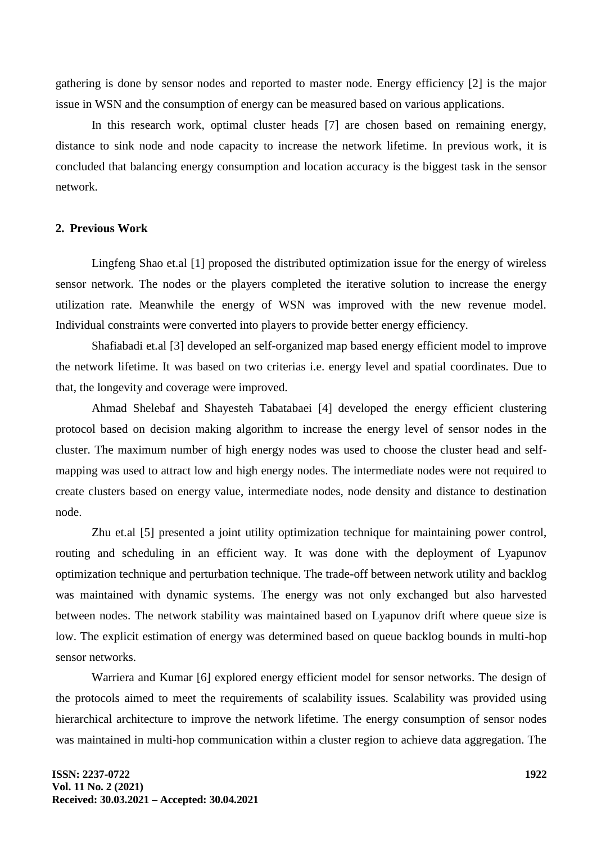gathering is done by sensor nodes and reported to master node. Energy efficiency [2] is the major issue in WSN and the consumption of energy can be measured based on various applications.

In this research work, optimal cluster heads [7] are chosen based on remaining energy, distance to sink node and node capacity to increase the network lifetime. In previous work, it is concluded that balancing energy consumption and location accuracy is the biggest task in the sensor network.

## **2. Previous Work**

Lingfeng Shao et.al [1] proposed the distributed optimization issue for the energy of wireless sensor network. The nodes or the players completed the iterative solution to increase the energy utilization rate. Meanwhile the energy of WSN was improved with the new revenue model. Individual constraints were converted into players to provide better energy efficiency.

Shafiabadi et.al [3] developed an self-organized map based energy efficient model to improve the network lifetime. It was based on two criterias i.e. energy level and spatial coordinates. Due to that, the longevity and coverage were improved.

Ahmad Shelebaf and Shayesteh Tabatabaei [4] developed the energy efficient clustering protocol based on decision making algorithm to increase the energy level of sensor nodes in the cluster. The maximum number of high energy nodes was used to choose the cluster head and selfmapping was used to attract low and high energy nodes. The intermediate nodes were not required to create clusters based on energy value, intermediate nodes, node density and distance to destination node.

Zhu et.al [5] presented a joint utility optimization technique for maintaining power control, routing and scheduling in an efficient way. It was done with the deployment of Lyapunov optimization technique and perturbation technique. The trade-off between network utility and backlog was maintained with dynamic systems. The energy was not only exchanged but also harvested between nodes. The network stability was maintained based on Lyapunov drift where queue size is low. The explicit estimation of energy was determined based on queue backlog bounds in multi-hop sensor networks.

Warriera and Kumar [6] explored energy efficient model for sensor networks. The design of the protocols aimed to meet the requirements of scalability issues. Scalability was provided using hierarchical architecture to improve the network lifetime. The energy consumption of sensor nodes was maintained in multi-hop communication within a cluster region to achieve data aggregation. The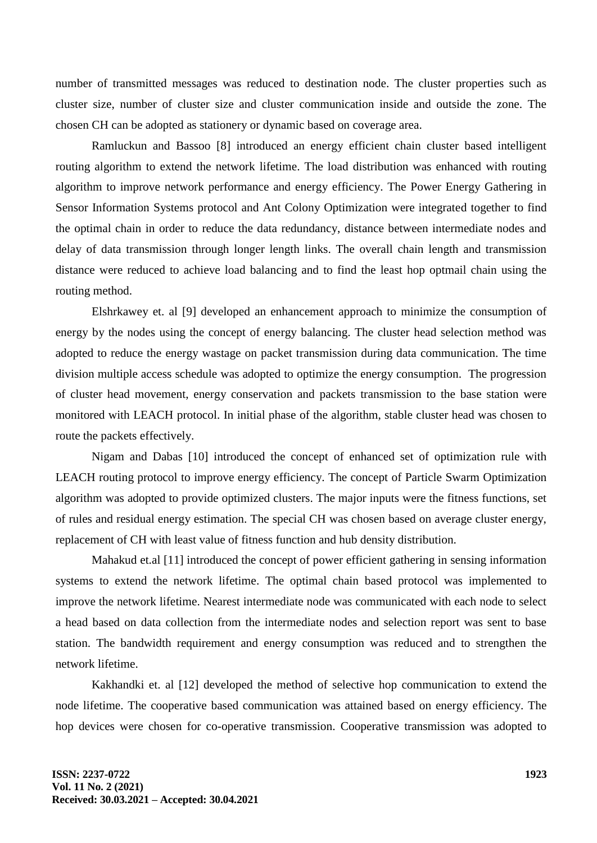number of transmitted messages was reduced to destination node. The cluster properties such as cluster size, number of cluster size and cluster communication inside and outside the zone. The chosen CH can be adopted as stationery or dynamic based on coverage area.

Ramluckun and Bassoo [8] introduced an energy efficient chain cluster based intelligent routing algorithm to extend the network lifetime. The load distribution was enhanced with routing algorithm to improve network performance and energy efficiency. The Power Energy Gathering in Sensor Information Systems protocol and Ant Colony Optimization were integrated together to find the optimal chain in order to reduce the data redundancy, distance between intermediate nodes and delay of data transmission through longer length links. The overall chain length and transmission distance were reduced to achieve load balancing and to find the least hop optmail chain using the routing method.

Elshrkawey et. al [9] developed an enhancement approach to minimize the consumption of energy by the nodes using the concept of energy balancing. The cluster head selection method was adopted to reduce the energy wastage on packet transmission during data communication. The time division multiple access schedule was adopted to optimize the energy consumption. The progression of cluster head movement, energy conservation and packets transmission to the base station were monitored with LEACH protocol. In initial phase of the algorithm, stable cluster head was chosen to route the packets effectively.

Nigam and Dabas [10] introduced the concept of enhanced set of optimization rule with LEACH routing protocol to improve energy efficiency. The concept of Particle Swarm Optimization algorithm was adopted to provide optimized clusters. The major inputs were the fitness functions, set of rules and residual energy estimation. The special CH was chosen based on average cluster energy, replacement of CH with least value of fitness function and hub density distribution.

Mahakud et.al [11] introduced the concept of power efficient gathering in sensing information systems to extend the network lifetime. The optimal chain based protocol was implemented to improve the network lifetime. Nearest intermediate node was communicated with each node to select a head based on data collection from the intermediate nodes and selection report was sent to base station. The bandwidth requirement and energy consumption was reduced and to strengthen the network lifetime.

Kakhandki et. al [12] developed the method of selective hop communication to extend the node lifetime. The cooperative based communication was attained based on energy efficiency. The hop devices were chosen for co-operative transmission. Cooperative transmission was adopted to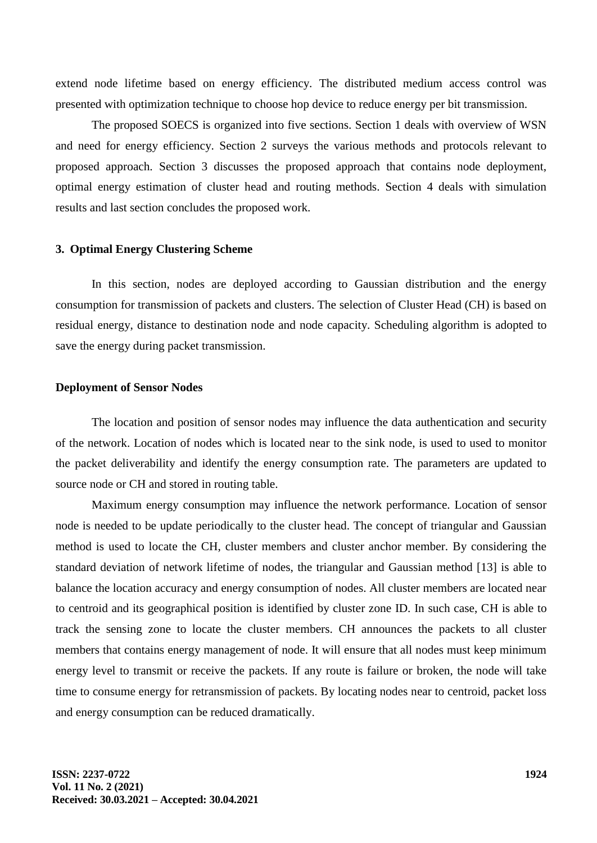extend node lifetime based on energy efficiency. The distributed medium access control was presented with optimization technique to choose hop device to reduce energy per bit transmission.

The proposed SOECS is organized into five sections. Section 1 deals with overview of WSN and need for energy efficiency. Section 2 surveys the various methods and protocols relevant to proposed approach. Section 3 discusses the proposed approach that contains node deployment, optimal energy estimation of cluster head and routing methods. Section 4 deals with simulation results and last section concludes the proposed work.

#### **3. Optimal Energy Clustering Scheme**

In this section, nodes are deployed according to Gaussian distribution and the energy consumption for transmission of packets and clusters. The selection of Cluster Head (CH) is based on residual energy, distance to destination node and node capacity. Scheduling algorithm is adopted to save the energy during packet transmission.

#### **Deployment of Sensor Nodes**

The location and position of sensor nodes may influence the data authentication and security of the network. Location of nodes which is located near to the sink node, is used to used to monitor the packet deliverability and identify the energy consumption rate. The parameters are updated to source node or CH and stored in routing table.

Maximum energy consumption may influence the network performance. Location of sensor node is needed to be update periodically to the cluster head. The concept of triangular and Gaussian method is used to locate the CH, cluster members and cluster anchor member. By considering the standard deviation of network lifetime of nodes, the triangular and Gaussian method [13] is able to balance the location accuracy and energy consumption of nodes. All cluster members are located near to centroid and its geographical position is identified by cluster zone ID. In such case, CH is able to track the sensing zone to locate the cluster members. CH announces the packets to all cluster members that contains energy management of node. It will ensure that all nodes must keep minimum energy level to transmit or receive the packets. If any route is failure or broken, the node will take time to consume energy for retransmission of packets. By locating nodes near to centroid, packet loss and energy consumption can be reduced dramatically.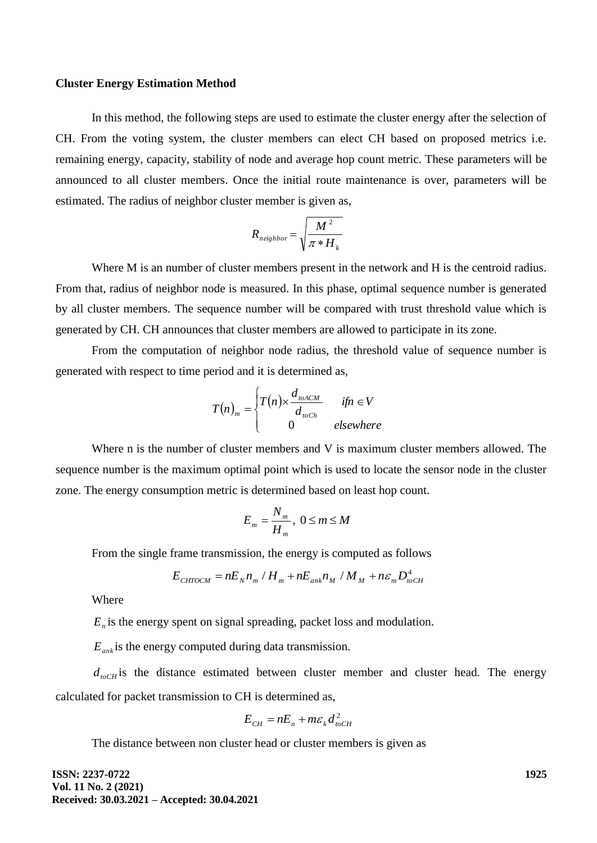#### **Cluster Energy Estimation Method**

In this method, the following steps are used to estimate the cluster energy after the selection of CH. From the voting system, the cluster members can elect CH based on proposed metrics i.e. remaining energy, capacity, stability of node and average hop count metric. These parameters will be announced to all cluster members. Once the initial route maintenance is over, parameters will be estimated. The radius of neighbor cluster member is given as,

$$
R_{neighbor} = \sqrt{\frac{M^2}{\pi * H_k}}
$$

Where M is an number of cluster members present in the network and H is the centroid radius. From that, radius of neighbor node is measured. In this phase, optimal sequence number is generated by all cluster members. The sequence number will be compared with trust threshold value which is generated by CH. CH announces that cluster members are allowed to participate in its zone.

From the computation of neighbor node radius, the threshold value of sequence number is generated with respect to time period and it is determined as,

$$
T(n)_m = \begin{cases} T(n) \times \frac{d_{\text{toACM}}}{d_{\text{toCh}}} & \text{if } n \in V \\ 0 & \text{elsewhere} \end{cases}
$$

Where n is the number of cluster members and V is maximum cluster members allowed. The sequence number is the maximum optimal point which is used to locate the sensor node in the cluster zone. The energy consumption metric is determined based on least hop count.

$$
E_m = \frac{N_m}{H_m}, \ 0 \le m \le M
$$

From the single frame transmission, the energy is computed as follows

$$
E_{CHTOCM} = nE_N n_m / H_m + nE_{ank} n_M / M_M + n\epsilon_m D_{toCH}^4
$$

**Where** 

*En* is the energy spent on signal spreading, packet loss and modulation.

*Eank* is the energy computed during data transmission.

 $d_{toCH}$  is the distance estimated between cluster member and cluster head. The energy calculated for packet transmission to CH is determined as,

$$
E_{CH} = nE_n + m\varepsilon_k d_{\text{toCH}}^2
$$

The distance between non cluster head or cluster members is given as

**ISSN: 2237-0722 Vol. 11 No. 2 (2021) Received: 30.03.2021 – Accepted: 30.04.2021** **1925**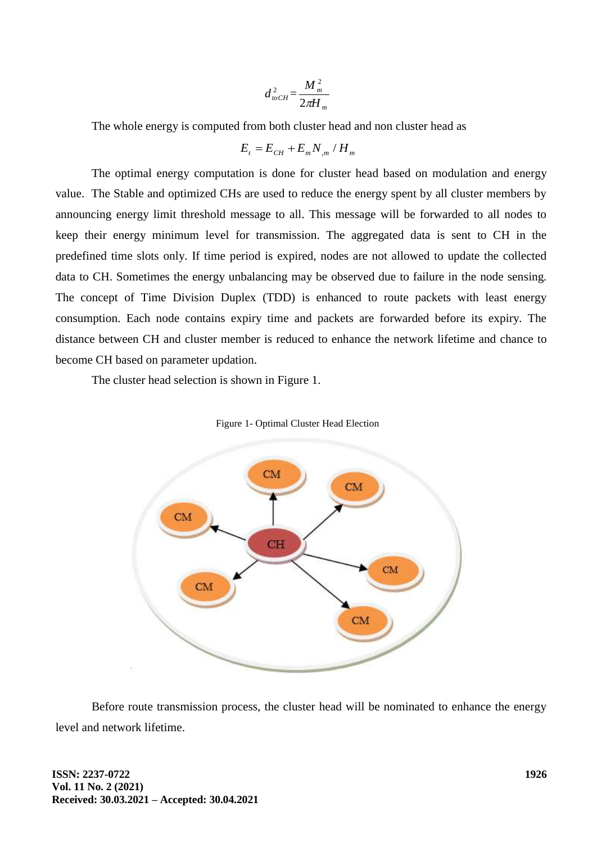$$
d_{\text{toCH}}^2 = \frac{M_m^2}{2\pi H_m}
$$

The whole energy is computed from both cluster head and non cluster head as

$$
E_t = E_{CH} + E_m N_{m}/H_m
$$

The optimal energy computation is done for cluster head based on modulation and energy value. The Stable and optimized CHs are used to reduce the energy spent by all cluster members by announcing energy limit threshold message to all. This message will be forwarded to all nodes to keep their energy minimum level for transmission. The aggregated data is sent to CH in the predefined time slots only. If time period is expired, nodes are not allowed to update the collected data to CH. Sometimes the energy unbalancing may be observed due to failure in the node sensing. The concept of Time Division Duplex (TDD) is enhanced to route packets with least energy consumption. Each node contains expiry time and packets are forwarded before its expiry. The distance between CH and cluster member is reduced to enhance the network lifetime and chance to become CH based on parameter updation.

The cluster head selection is shown in Figure 1.



Figure 1- Optimal Cluster Head Election

Before route transmission process, the cluster head will be nominated to enhance the energy level and network lifetime.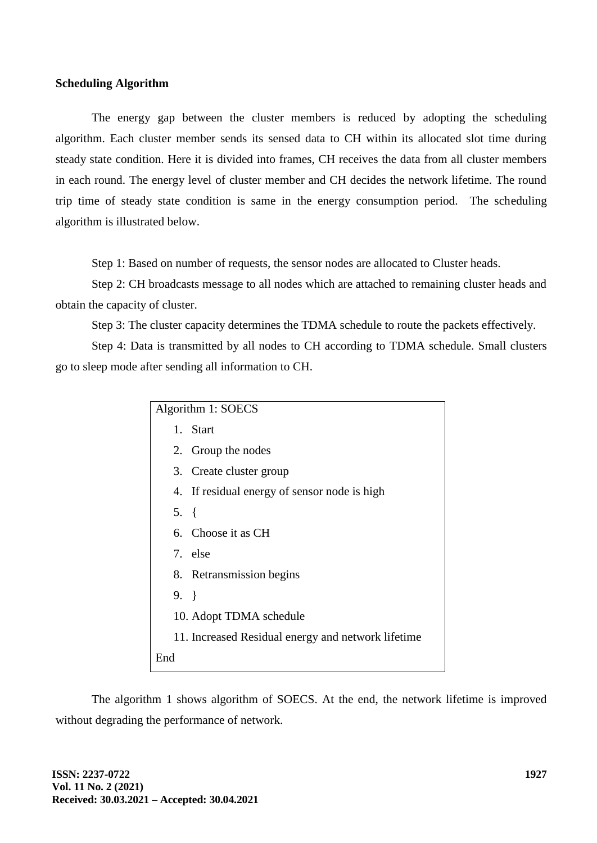#### **Scheduling Algorithm**

The energy gap between the cluster members is reduced by adopting the scheduling algorithm. Each cluster member sends its sensed data to CH within its allocated slot time during steady state condition. Here it is divided into frames, CH receives the data from all cluster members in each round. The energy level of cluster member and CH decides the network lifetime. The round trip time of steady state condition is same in the energy consumption period. The scheduling algorithm is illustrated below.

Step 1: Based on number of requests, the sensor nodes are allocated to Cluster heads.

Step 2: CH broadcasts message to all nodes which are attached to remaining cluster heads and obtain the capacity of cluster.

Step 3: The cluster capacity determines the TDMA schedule to route the packets effectively.

Step 4: Data is transmitted by all nodes to CH according to TDMA schedule. Small clusters go to sleep mode after sending all information to CH.

| Algorithm 1: SOECS                                 |                                              |  |  |
|----------------------------------------------------|----------------------------------------------|--|--|
|                                                    | 1. Start                                     |  |  |
|                                                    | 2. Group the nodes                           |  |  |
|                                                    | 3. Create cluster group                      |  |  |
|                                                    | 4. If residual energy of sensor node is high |  |  |
| $5. \{$                                            |                                              |  |  |
|                                                    | 6. Choose it as CH                           |  |  |
|                                                    | 7. else                                      |  |  |
|                                                    | 8. Retransmission begins                     |  |  |
| $9. \}$                                            |                                              |  |  |
|                                                    | 10. Adopt TDMA schedule                      |  |  |
| 11. Increased Residual energy and network lifetime |                                              |  |  |
| End                                                |                                              |  |  |

The algorithm 1 shows algorithm of SOECS. At the end, the network lifetime is improved without degrading the performance of network.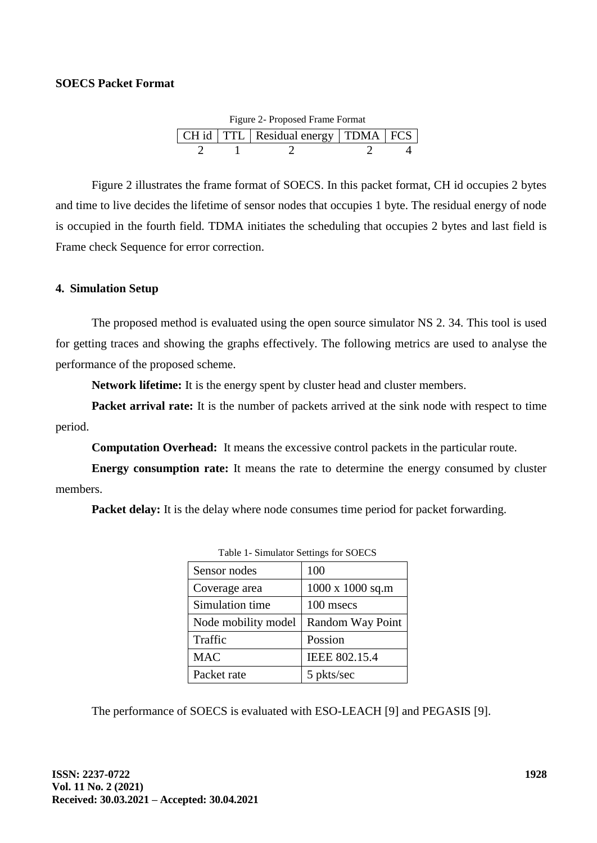## **SOECS Packet Format**

| Figure 2- Proposed Frame Format |  |                                            |  |  |  |  |
|---------------------------------|--|--------------------------------------------|--|--|--|--|
|                                 |  | CH id   TTL   Residual energy   TDMA   FCS |  |  |  |  |
|                                 |  |                                            |  |  |  |  |

Figure 2 illustrates the frame format of SOECS. In this packet format, CH id occupies 2 bytes and time to live decides the lifetime of sensor nodes that occupies 1 byte. The residual energy of node is occupied in the fourth field. TDMA initiates the scheduling that occupies 2 bytes and last field is Frame check Sequence for error correction.

### **4. Simulation Setup**

The proposed method is evaluated using the open source simulator NS 2. 34. This tool is used for getting traces and showing the graphs effectively. The following metrics are used to analyse the performance of the proposed scheme.

**Network lifetime:** It is the energy spent by cluster head and cluster members.

**Packet arrival rate:** It is the number of packets arrived at the sink node with respect to time period.

**Computation Overhead:** It means the excessive control packets in the particular route.

**Energy consumption rate:** It means the rate to determine the energy consumed by cluster members.

Packet delay: It is the delay where node consumes time period for packet forwarding.

| Table 1- Simulator Settings for SOECS |                  |  |  |
|---------------------------------------|------------------|--|--|
| Sensor nodes                          | 100              |  |  |
| Coverage area                         | 1000 x 1000 sq.m |  |  |
| Simulation time                       | 100 msecs        |  |  |
| Node mobility model                   | Random Way Point |  |  |
| Traffic                               | Possion          |  |  |
| <b>MAC</b>                            | IEEE 802.15.4    |  |  |
| Packet rate                           | 5 pkts/sec       |  |  |

The performance of SOECS is evaluated with ESO-LEACH [9] and PEGASIS [9].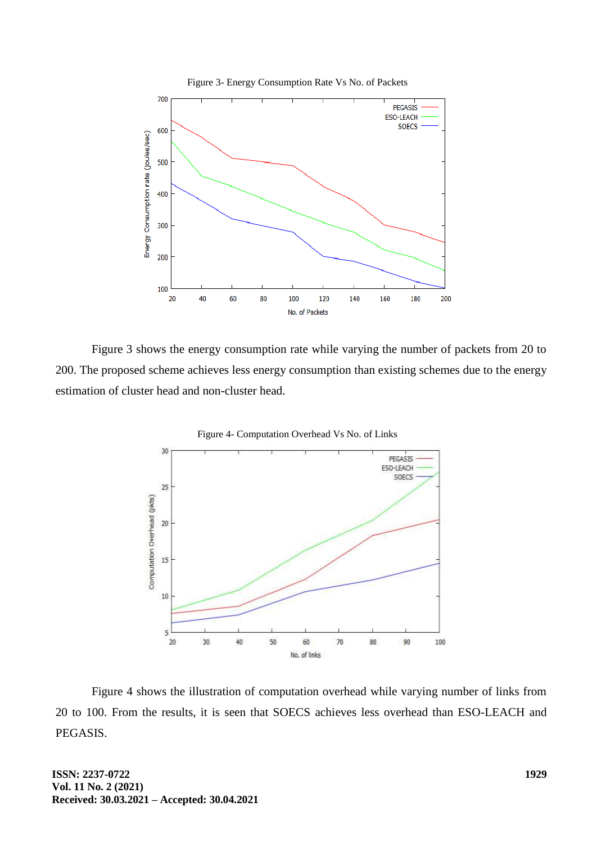

Figure 3 shows the energy consumption rate while varying the number of packets from 20 to 200. The proposed scheme achieves less energy consumption than existing schemes due to the energy estimation of cluster head and non-cluster head.



Figure 4 shows the illustration of computation overhead while varying number of links from 20 to 100. From the results, it is seen that SOECS achieves less overhead than ESO-LEACH and PEGASIS.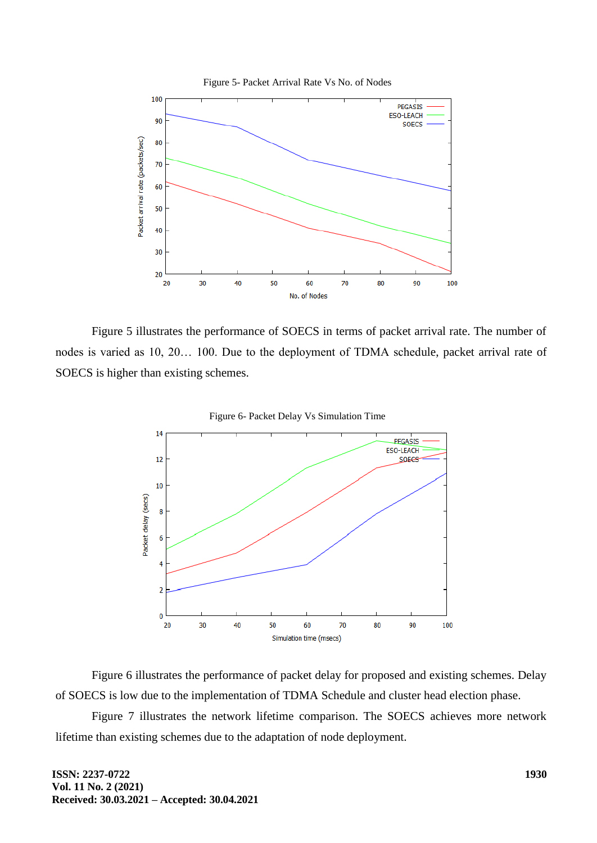

Figure 5 illustrates the performance of SOECS in terms of packet arrival rate. The number of nodes is varied as 10, 20… 100. Due to the deployment of TDMA schedule, packet arrival rate of SOECS is higher than existing schemes.



Figure 6- Packet Delay Vs Simulation Time

Figure 6 illustrates the performance of packet delay for proposed and existing schemes. Delay of SOECS is low due to the implementation of TDMA Schedule and cluster head election phase.

Figure 7 illustrates the network lifetime comparison. The SOECS achieves more network lifetime than existing schemes due to the adaptation of node deployment.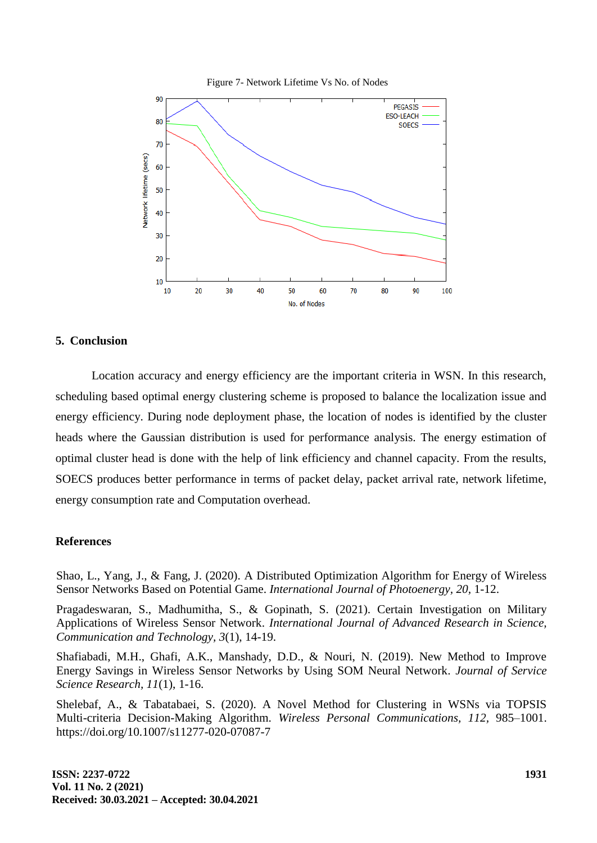



#### **5. Conclusion**

Location accuracy and energy efficiency are the important criteria in WSN. In this research, scheduling based optimal energy clustering scheme is proposed to balance the localization issue and energy efficiency. During node deployment phase, the location of nodes is identified by the cluster heads where the Gaussian distribution is used for performance analysis. The energy estimation of optimal cluster head is done with the help of link efficiency and channel capacity. From the results, SOECS produces better performance in terms of packet delay, packet arrival rate, network lifetime, energy consumption rate and Computation overhead.

#### **References**

Shao, L., Yang, J., & Fang, J. (2020). A Distributed Optimization Algorithm for Energy of Wireless Sensor Networks Based on Potential Game. *International Journal of Photoenergy, 20,* 1-12.

Pragadeswaran, S., Madhumitha, S., & Gopinath, S. (2021). Certain Investigation on Military Applications of Wireless Sensor Network. *International Journal of Advanced Research in Science, Communication and Technology, 3*(1), 14-19.

Shafiabadi, M.H., Ghafi, A.K., Manshady, D.D., & Nouri, N. (2019). New Method to Improve Energy Savings in Wireless Sensor Networks by Using SOM Neural Network*. Journal of Service Science Research, 11*(1), 1-16.

Shelebaf, A., & Tabatabaei, S. (2020). A Novel Method for Clustering in WSNs via TOPSIS Multi-criteria Decision-Making Algorithm. *Wireless Personal Communications, 112,* 985–1001. https://doi.org/10.1007/s11277-020-07087-7